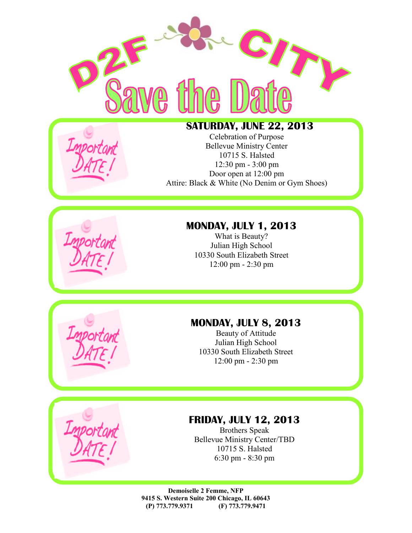



#### **SATURDAY, JUNE 22, 2013**

Celebration of Purpose Bellevue Ministry Center 10715 S. Halsted 12:30 pm - 3:00 pm Door open at 12:00 pm Attire: Black & White (No Denim or Gym Shoes)



What is Beauty? Julian High School 10330 South Elizabeth Street 12:00 pm - 2:30 pm

### **MONDAY, JULY 8, 2013**

Beauty of Attitude Julian High School 10330 South Elizabeth Street 12:00 pm - 2:30 pm

#### **FRIDAY, JULY 12, 2013**

Brothers Speak Bellevue Ministry Center/TBD 10715 S. Halsted 6:30 pm - 8:30 pm

**Demoiselle 2 Femme, NFP 9415 S. Western Suite 200 Chicago, IL 60643 (P) 773.779.9371 (F) 773.779.9471**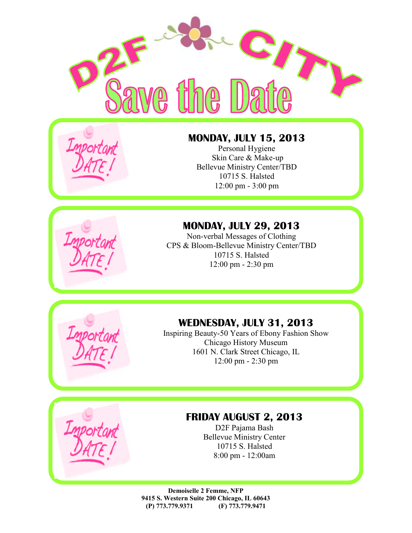



## **MONDAY, JULY 15, 2013**

Personal Hygiene Skin Care & Make-up Bellevue Ministry Center/TBD 10715 S. Halsted 12:00 pm - 3:00 pm

### **MONDAY, JULY 29, 2013**

Non-verbal Messages of Clothing CPS & Bloom-Bellevue Ministry Center/TBD 10715 S. Halsted 12:00 pm - 2:30 pm



#### **WEDNESDAY, JULY 31, 2013**

Inspiring Beauty-50 Years of Ebony Fashion Show Chicago History Museum 1601 N. Clark Street Chicago, IL 12:00 pm - 2:30 pm



### **FRIDAY AUGUST 2, 2013**

D2F Pajama Bash Bellevue Ministry Center 10715 S. Halsted 8:00 pm - 12:00am

**Demoiselle 2 Femme, NFP 9415 S. Western Suite 200 Chicago, IL 60643 (P) 773.779.9371 (F) 773.779.9471**